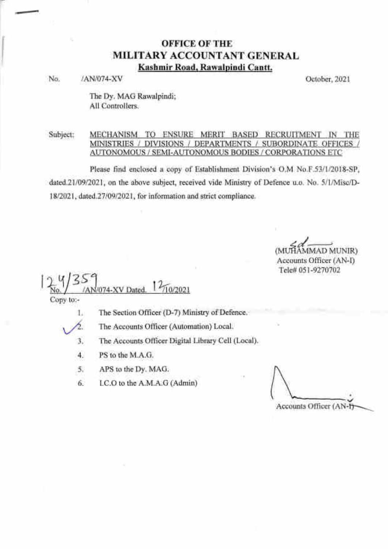### OFFICE OF TIIE MILITARY ACCOUNTANT GENERAL Kashmir Road. Rawalpindi Cantt.

No. /AN/074-XV October, 2021

The Dy. MAG Rawalpindi; All Controllers.

#### Subject: MECHANISM TO ENSURE MERIT BASED RECRUITMENT IN THE MINISTRIES / DIVISIONS / DEPARTMENTS / SUBORDINATE OFFiCES / AUTONOMOUS / SEMI-AUTONOMOUS BODIES / CORPORATIONS ETC

Please find enclosed a copy of Establishment Division's O.M No.F.53/1/2018-SP, dated.21/09/2021, on the above subject, received vide Ministry of Defence u.o. No. 5/1/Misc/D-18/2021, dated.27/09/2021, for information and strict compliance.

D MUNIR) Accounts Officer (AN-I)

Tele# 051-9270702

 $\frac{2\pi}{\pi}\frac{V}{35}$  /AN/074-XV Dated.  $\frac{12\pi}{\pi}\frac{202021}{\pi}$ 

Copy to:-

The Section Officer (D-7) Ministry of Defence. 1,

 $\vee$ 

The Accounts Officer (Automation) Local.

The Accounts Officer Digital Library Cell (Local) 3

- PS to the M.A.G. 4
- APS to the Dy. MAG. 5
- I.C.O to the A.M.A.G (Admin) 6

Accounts Officer (AN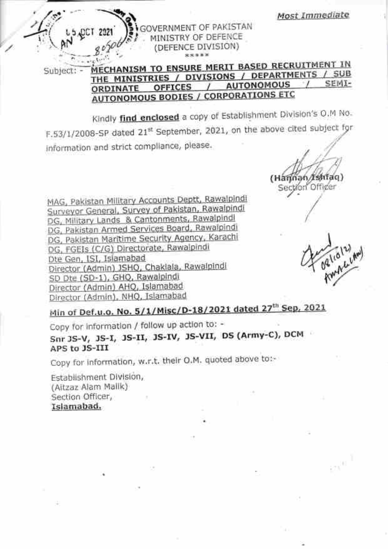Most Immediate

GOVERNMENT OF PAKISTAN MINISTRY OF DEFENCE (DEFENCE DIVISION)

MECHANISM TO ENSURE MERIT BASED RECRUITMENT IN Subject: -THE MINISTRIES / DIVISIONS / DEPARTMENTS / SUB **SEMI-AUTONOMOUS OFFICES**  $\prime$ ORDINATE **AUTONOMOUS BODIES / CORPORATIONS ETC** 

Kindly find enclosed a copy of Establishment Division's O.M No. F.53/1/2008-SP dated 21st September, 2021, on the above cited subject for information and strict compliance, please.

(Hannan/Ishiaq) Section Officer

MAG, Pakistan Military Accounts Deptt, Rawalpindi Surveyor General, Survey of Pakistan, Rawalpindi DG, Military Lands & Cantonments, Rawalpindi DG, Pakistan Armed Services Board, Rawalpindi DG, Pakistan Maritime Security Agency, Karachi DG, FGEIs (C/G) Directorate, Rawalpindi Dte Gen, ISI, Islamabad Director (Admin) JSHQ, Chaklala, Rawalpindi SD Dte (SD-1), GHQ, Rawalpindi Director (Admin) AHQ, Islamabad Director (Admin), NHQ, Islamabad

oglialum

Min of Def.u.o. No. 5/1/Misc/D-18/2021 dated 27<sup>th</sup> Sep, 2021

Copy for information / follow up action to: -

Snr 3S-V, 3S-I, 3S-II, 3S-IV, 3S-VII, DS (Army-C), DCM APS to JS-III

Copy for information, w.r.t. their O.M. quoted above to:-

Establishment Division, (Altzaz Alam Mallk) Section Officer, Islamabad.

**JOCT 2021**